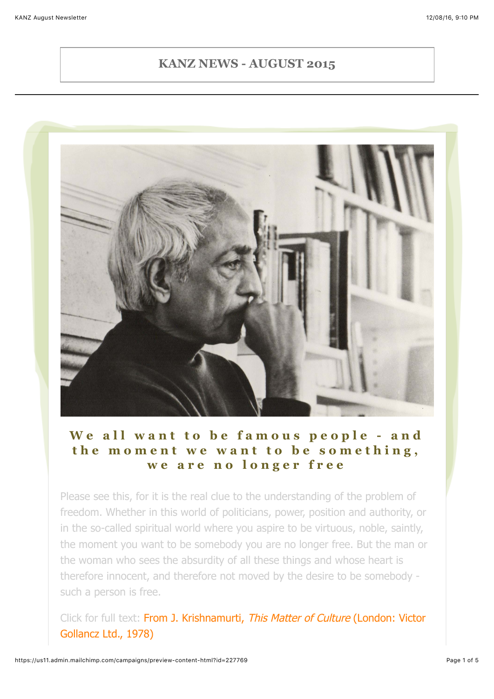#### **KANZ NEWS - AUGUST 2015**



### **We all want to be famous people - and the moment we want to be something, we are no longer free**

Please see this, for it is the real clue to the understanding of the problem of freedom. Whether in this world of politicians, power, position and authority, or in the so-called spiritual world where you aspire to be virtuous, noble, saintly, the moment you want to be somebody you are no longer free. But the man or the woman who sees the absurdity of all these things and whose heart is therefore innocent, and therefore not moved by the desire to be somebody such a person is free.

[Click for full text: From J. Krishnamurti,](http://www.jkrishnamurti.org/krishnamurti-teachings/view-text.php?tid=22&chid=68518&w=&) This Matter of Culture (London: Victor Gollancz Ltd., 1978)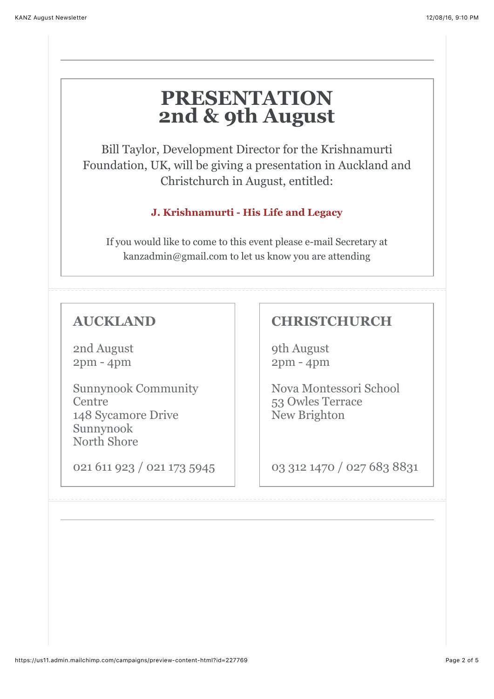## **PRESENTATION 2nd & 9th August**

Bill Taylor, Development Director for the Krishnamurti Foundation, UK, will be giving a presentation in Auckland and Christchurch in August, entitled:

#### **J. Krishnamurti - His Life and Legacy**

If you would like to come to this event please e-mail Secretary at kanzadmin@gmail.com to let us know you are attending

## **AUCKLAND**

2nd August 2pm - 4pm

Sunnynook Community **Centre** 148 Sycamore Drive Sunnynook North Shore

021 611 923 / 021 173 5945

### **CHRISTCHURCH**

9th August 2pm - 4pm

Nova Montessori School 53 Owles Terrace New Brighton

03 312 1470 / 027 683 8831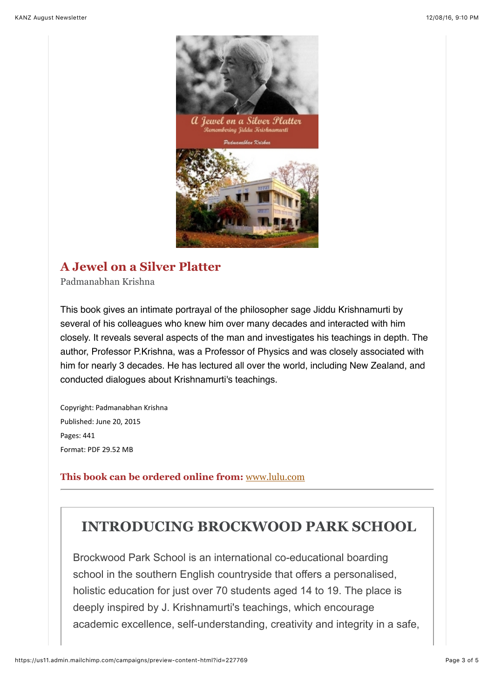



#### **A Jewel on a Silver Platter**

Padmanabhan Krishna

This book gives an intimate portrayal of the philosopher sage Jiddu Krishnamurti by several of his colleagues who knew him over many decades and interacted with him closely. It reveals several aspects of the man and investigates his teachings in depth. The author, Professor P.Krishna, was a Professor of Physics and was closely associated with him for nearly 3 decades. He has lectured all over the world, including New Zealand, and conducted dialogues about Krishnamurti's teachings.

Copyright: Padmanabhan Krishna Published: June 20, 2015 Pages: 441 Format: PDF 29.52 MB

#### **This book can be ordered online from:** [www.lulu.com](http://www.lulu.com/shop/padmanabhan-krishna/a-jewel-on-a-silver-platter/ebook/product-22224353.html)

## **INTRODUCING BROCKWOOD PARK SCHOOL**

Brockwood Park School is an international co-educational boarding school in the southern English countryside that offers a personalised, holistic education for just over 70 students aged 14 to 19. The place is deeply inspired by J. Krishnamurti's teachings, which encourage academic excellence, self-understanding, creativity and integrity in a safe,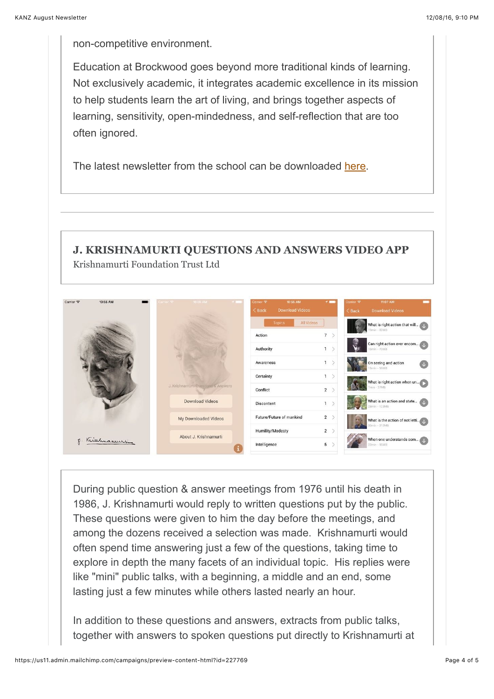non-competitive environment.

Education at Brockwood goes beyond more traditional kinds of learning. Not exclusively academic, it integrates academic excellence in its mission to help students learn the art of living, and brings together aspects of learning, sensitivity, open-mindedness, and self-reflection that are too often ignored.

The latest newsletter from the school can be downloaded [here.](https://www.brockwood.org.uk/publications.html)

#### **J. KRISHNAMURTI QUESTIONS AND ANSWERS VIDEO APP** Krishnamurti Foundation Trust Ltd

| Carrier <b>デ</b><br>10:55 AM | 10:55 AM<br>r <sub>nor</sub>        | 10:55 AM<br>Carrier <b>全</b><br>$\leq$ Back<br><b>Download Videos</b> | 7 <sub>1</sub> | Carrier <b><sub>?</sub></b><br>$\langle$ Back | 11:07 AM<br><b>Download Videos</b>              |        |
|------------------------------|-------------------------------------|-----------------------------------------------------------------------|----------------|-----------------------------------------------|-------------------------------------------------|--------|
|                              |                                     | All Videos<br><b>Topics</b>                                           |                |                                               | What is right action that will<br>$9min - 82MB$ |        |
|                              |                                     | Action                                                                | 7              |                                               |                                                 |        |
|                              |                                     | Authority                                                             | $\mathbf{1}$   |                                               | Can right action ever encom<br>16min - 70MB     |        |
|                              |                                     | Awareness                                                             | 1              |                                               | On seeing and action<br>3min - 56MB             | $\cup$ |
|                              |                                     | Certainty                                                             | 1              |                                               | What is right action when un                    |        |
|                              | J. Krishnamurti Questions & Answers | Conflict                                                              | $2$ >          |                                               | $7min - 27MB$                                   |        |
|                              | <b>Download Videos</b>              | <b>Discontent</b>                                                     | $\mathbf{1}$   |                                               | What is an action and state<br>28min - 123MB    |        |
|                              | My Downloaded Videos                | Future/Future of mankind                                              | $2$ >          |                                               |                                                 |        |
| g. Kichmannerin              | About J. Krishnamurti               | Humility/Modesty                                                      | $2$ >          | 30min - 212MB                                 |                                                 |        |
|                              |                                     | Intelligence                                                          | 5              |                                               | When one understands som<br>$22min - 95MB$      |        |

During public question & answer meetings from 1976 until his death in 1986, J. Krishnamurti would reply to written questions put by the public. These questions were given to him the day before the meetings, and among the dozens received a selection was made. Krishnamurti would often spend time answering just a few of the questions, taking time to explore in depth the many facets of an individual topic. His replies were like "mini" public talks, with a beginning, a middle and an end, some lasting just a few minutes while others lasted nearly an hour.

In addition to these questions and answers, extracts from public talks, together with answers to spoken questions put directly to Krishnamurti at